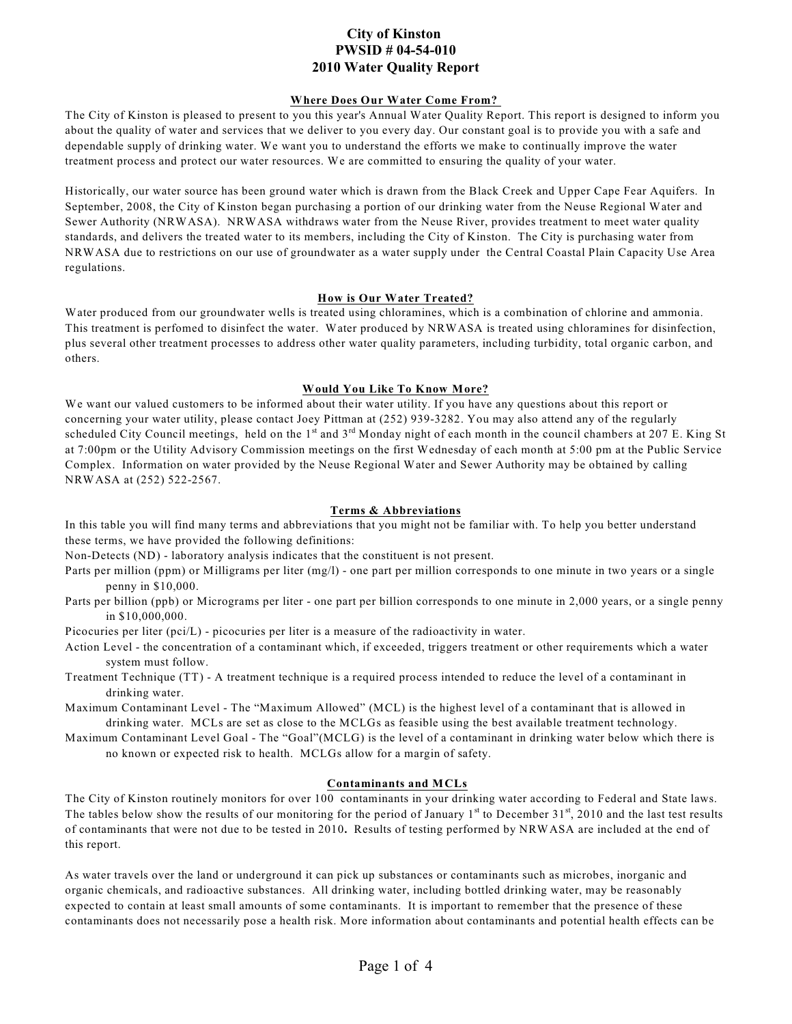# **City of Kinston PWSID # 04-54-010 2010 Water Quality Report**

### **Where Does Our Water Come From?**

The City of Kinston is pleased to present to you this year's Annual Water Quality Report. This report is designed to inform you about the quality of water and services that we deliver to you every day. Our constant goal is to provide you with a safe and dependable supply of drinking water. We want you to understand the efforts we make to continually improve the water treatment process and protect our water resources. We are committed to ensuring the quality of your water.

Historically, our water source has been ground water which is drawn from the Black Creek and Upper Cape Fear Aquifers. In September, 2008, the City of Kinston began purchasing a portion of our drinking water from the Neuse Regional Water and Sewer Authority (NRWASA). NRWASA withdraws water from the Neuse River, provides treatment to meet water quality standards, and delivers the treated water to its members, including the City of Kinston. The City is purchasing water from NRWASA due to restrictions on our use of groundwater as a water supply under the Central Coastal Plain Capacity Use Area regulations.

### **How is Our Water Treated?**

Water produced from our groundwater wells is treated using chloramines, which is a combination of chlorine and ammonia. This treatment is perfomed to disinfect the water. Water produced by NRWASA is treated using chloramines for disinfection, plus several other treatment processes to address other water quality parameters, including turbidity, total organic carbon, and others.

### **Would You Like To Know More?**

We want our valued customers to be informed about their water utility. If you have any questions about this report or concerning your water utility, please contact Joey Pittman at (252) 939-3282. You may also attend any of the regularly scheduled City Council meetings, held on the  $1<sup>st</sup>$  and  $3<sup>rd</sup>$  Monday night of each month in the council chambers at 207 E. King St at 7:00pm or the Utility Advisory Commission meetings on the first Wednesday of each month at 5:00 pm at the Public Service Complex. Information on water provided by the Neuse Regional Water and Sewer Authority may be obtained by calling NRWASA at (252) 522-2567.

### **Terms & Abbreviations**

In this table you will find many terms and abbreviations that you might not be familiar with. To help you better understand these terms, we have provided the following definitions:

Non-Detects (ND) - laboratory analysis indicates that the constituent is not present.

- Parts per million (ppm) or Milligrams per liter (mg/l) one part per million corresponds to one minute in two years or a single penny in \$10,000.
- Parts per billion (ppb) or Micrograms per liter one part per billion corresponds to one minute in 2,000 years, or a single penny in \$10,000,000.

Picocuries per liter (pci/L) - picocuries per liter is a measure of the radioactivity in water.

Action Level - the concentration of a contaminant which, if exceeded, triggers treatment or other requirements which a water system must follow.

Treatment Technique (TT) - A treatment technique is a required process intended to reduce the level of a contaminant in drinking water.

Maximum Contaminant Level - The "Maximum Allowed" (MCL) is the highest level of a contaminant that is allowed in drinking water. MCLs are set as close to the MCLGs as feasible using the best available treatment technology.

Maximum Contaminant Level Goal - The "Goal"(MCLG) is the level of a contaminant in drinking water below which there is no known or expected risk to health. MCLGs allow for a margin of safety.

### **Contaminants and MCLs**

The City of Kinston routinely monitors for over 100 contaminants in your drinking water according to Federal and State laws. The tables below show the results of our monitoring for the period of January  $1<sup>st</sup>$  to December 31 $<sup>st</sup>$ , 2010 and the last test results</sup> of contaminants that were not due to be tested in 2010**.** Results of testing performed by NRWASA are included at the end of this report.

As water travels over the land or underground it can pick up substances or contaminants such as microbes, inorganic and organic chemicals, and radioactive substances. All drinking water, including bottled drinking water, may be reasonably expected to contain at least small amounts of some contaminants. It is important to remember that the presence of these contaminants does not necessarily pose a health risk. More information about contaminants and potential health effects can be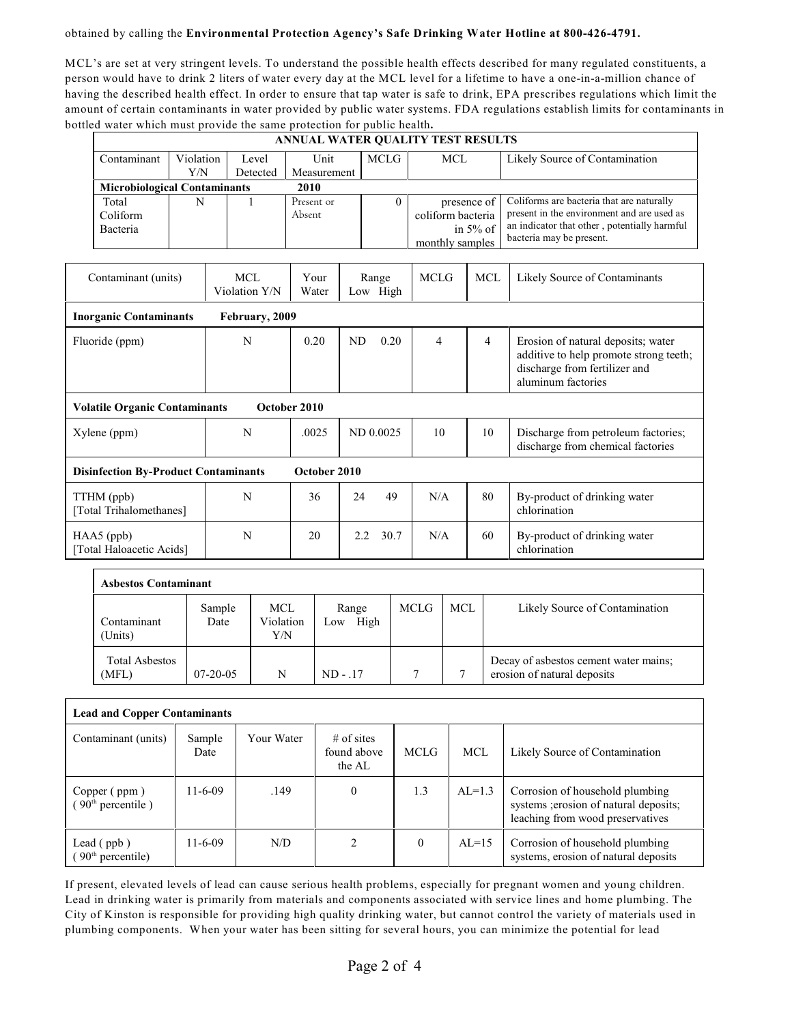### obtained by calling the **Environmental Protection Agency's Safe Drinking Water Hotline at 800-426-4791.**

MCL's are set at very stringent levels. To understand the possible health effects described for many regulated constituents, a person would have to drink 2 liters of water every day at the MCL level for a lifetime to have a one-in-a-million chance of having the described health effect. In order to ensure that tap water is safe to drink, EPA prescribes regulations which limit the amount of certain contaminants in water provided by public water systems. FDA regulations establish limits for contaminants in bottled water which must provide the same protection for public health**.**

|                                          | ANNUAL WATER QUALITY TEST RESULTS                           |     |   |                |                   |           |             |                   |                                                                          |                                                                                                                                     |
|------------------------------------------|-------------------------------------------------------------|-----|---|----------------|-------------------|-----------|-------------|-------------------|--------------------------------------------------------------------------|-------------------------------------------------------------------------------------------------------------------------------------|
|                                          | Contaminant<br>Violation                                    |     |   | Level          | <b>Unit</b>       |           | <b>MCLG</b> | <b>MCL</b>        |                                                                          | Likely Source of Contamination                                                                                                      |
|                                          |                                                             | Y/N |   | Detected       | Measurement       |           |             |                   |                                                                          |                                                                                                                                     |
|                                          | <b>Microbiological Contaminants</b>                         |     |   |                | 2010              |           |             |                   |                                                                          |                                                                                                                                     |
|                                          | Total                                                       | N   |   |                | Present or        |           | $\theta$    | presence of       |                                                                          | Coliforms are bacteria that are naturally<br>present in the environment and are used as                                             |
|                                          | Coliform                                                    |     |   |                | Absent            |           |             | coliform bacteria |                                                                          | an indicator that other, potentially harmful                                                                                        |
|                                          | Bacteria                                                    |     |   |                |                   |           |             | monthly samples   | in $5\%$ of                                                              | bacteria may be present.                                                                                                            |
|                                          |                                                             |     |   |                |                   |           |             |                   |                                                                          |                                                                                                                                     |
|                                          | Contaminant (units)                                         |     |   | MCL            | Your              |           | Range       | <b>MCLG</b>       | <b>MCL</b>                                                               | Likely Source of Contaminants                                                                                                       |
|                                          |                                                             |     |   | Violation Y/N  | Water             | Low High  |             |                   |                                                                          |                                                                                                                                     |
|                                          | <b>Inorganic Contaminants</b>                               |     |   | February, 2009 |                   |           |             |                   |                                                                          |                                                                                                                                     |
|                                          | Fluoride (ppm)                                              |     |   | N              | 0.20<br><b>ND</b> |           | 0.20        | 4                 | 4                                                                        | Erosion of natural deposits; water<br>additive to help promote strong teeth;<br>discharge from fertilizer and<br>aluminum factories |
|                                          | <b>Volatile Organic Contaminants</b>                        |     |   |                | October 2010      |           |             |                   |                                                                          |                                                                                                                                     |
|                                          | Xylene (ppm)                                                |     | N | .0025          |                   | ND 0.0025 | 10          | 10                | Discharge from petroleum factories;<br>discharge from chemical factories |                                                                                                                                     |
|                                          | <b>Disinfection By-Product Contaminants</b><br>October 2010 |     |   |                |                   |           |             |                   |                                                                          |                                                                                                                                     |
|                                          | TTHM (ppb)<br>[Total Trihalomethanes]                       |     |   | N              | 36                | 24        | 49          | N/A               | 80                                                                       | By-product of drinking water<br>chlorination                                                                                        |
| $HAA5$ (ppb)<br>[Total Haloacetic Acids] |                                                             |     | N | 20             | 2.2               | 30.7      | N/A         | 60                | By-product of drinking water<br>chlorination                             |                                                                                                                                     |

| <b>Asbestos Contaminant</b>    |                |                          |                      |             |     |                                                                      |
|--------------------------------|----------------|--------------------------|----------------------|-------------|-----|----------------------------------------------------------------------|
| Contaminant<br>(Units)         | Sample<br>Date | MCL.<br>Violation<br>Y/N | Range<br>High<br>Low | <b>MCLG</b> | MCL | Likely Source of Contamination                                       |
| <b>Total Asbestos</b><br>(MFL) | $07-20-05$     | N                        | $ND - .17$           | 7           |     | Decay of asbestos cement water mains;<br>erosion of natural deposits |

| <b>Lead and Copper Contaminants</b>                  |                |            |                                       |          |          |                                                                                                               |  |  |  |
|------------------------------------------------------|----------------|------------|---------------------------------------|----------|----------|---------------------------------------------------------------------------------------------------------------|--|--|--|
| Contaminant (units)                                  | Sample<br>Date | Your Water | $#$ of sites<br>found above<br>the AL | MCLG     | MCL      | Likely Source of Contamination                                                                                |  |  |  |
| Copper (ppm)<br>(90 <sup>th</sup> percentile)        | $11-6-09$      | .149       | $\theta$                              | 1.3      | $AL=1.3$ | Corrosion of household plumbing<br>systems ; erosion of natural deposits;<br>leaching from wood preservatives |  |  |  |
| Lead $(\text{ppb})$<br>(90 <sup>th</sup> percentile) | $11 - 6 - 09$  | N/D        |                                       | $\theta$ | $AI=15$  | Corrosion of household plumbing<br>systems, erosion of natural deposits                                       |  |  |  |

If present, elevated levels of lead can cause serious health problems, especially for pregnant women and young children. Lead in drinking water is primarily from materials and components associated with service lines and home plumbing. The City of Kinston is responsible for providing high quality drinking water, but cannot control the variety of materials used in plumbing components. When your water has been sitting for several hours, you can minimize the potential for lead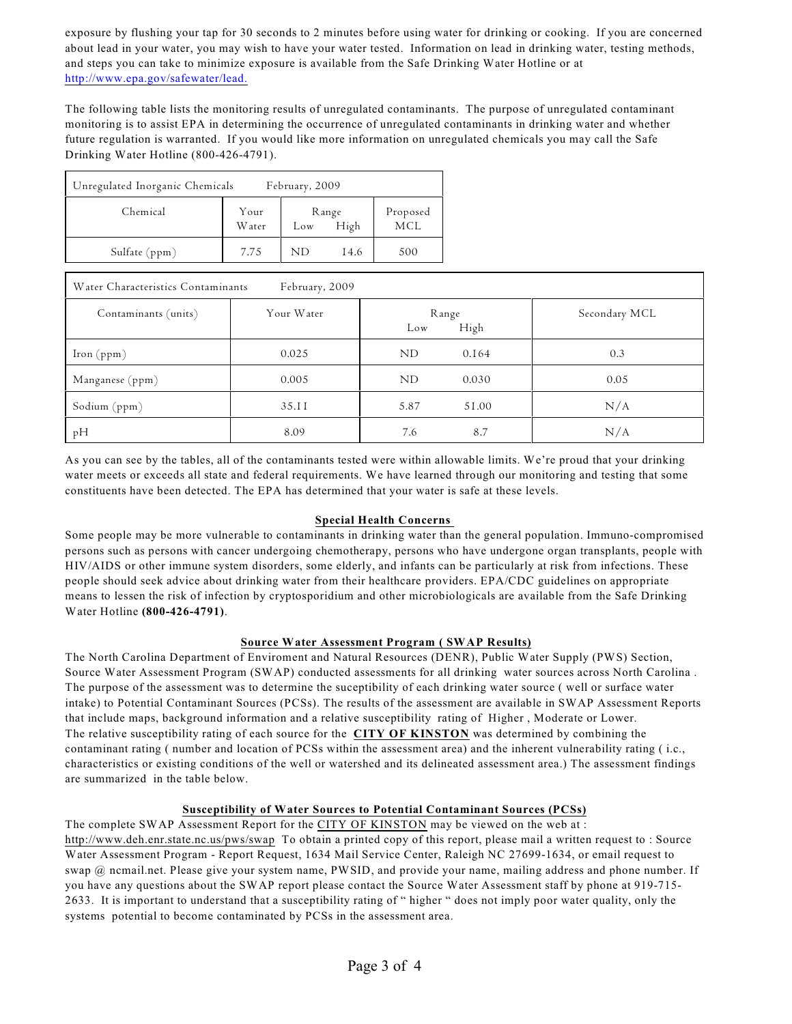exposure by flushing your tap for 30 seconds to 2 minutes before using water for drinking or cooking. If you are concerned about lead in your water, you may wish to have your water tested. Information on lead in drinking water, testing methods, and steps you can take to minimize exposure is available from the Safe Drinking Water Hotline or at <http://www.epa.gov/safewater/lead.>

The following table lists the monitoring results of unregulated contaminants. The purpose of unregulated contaminant monitoring is to assist EPA in determining the occurrence of unregulated contaminants in drinking water and whether future regulation is warranted. If you would like more information on unregulated chemicals you may call the Safe Drinking Water Hotline (800-426-4791).

| Unregulated Inorganic Chemicals<br>February, 2009 |                       |                   |      |                 |  |  |  |
|---------------------------------------------------|-----------------------|-------------------|------|-----------------|--|--|--|
| Chemical                                          | Your<br><b>W</b> ater | Range<br>Low High |      | Proposed<br>MCL |  |  |  |
| Sulfate (ppm)                                     | 7.75                  | ND                | 14.6 | 500             |  |  |  |

| Water Characteristics Contaminants<br>February, 2009 |            |              |       |               |  |  |  |  |
|------------------------------------------------------|------------|--------------|-------|---------------|--|--|--|--|
| Contaminants (units)                                 | Your Water | Range<br>Low | High  | Secondary MCL |  |  |  |  |
| Iron $(ppm)$                                         | 0.025      | ND           | 0.164 | 0.3           |  |  |  |  |
| Manganese (ppm)                                      | 0.005      | ND           | 0.030 | 0.05          |  |  |  |  |
| Sodium (ppm)                                         | 35.II      | 5.87         | 51.00 | N/A           |  |  |  |  |
| pH                                                   | 8.09       | 7.6          | 8.7   | N/A           |  |  |  |  |

As you can see by the tables, all of the contaminants tested were within allowable limits. We're proud that your drinking water meets or exceeds all state and federal requirements. We have learned through our monitoring and testing that some constituents have been detected. The EPA has determined that your water is safe at these levels.

# **Special Health Concerns**

Some people may be more vulnerable to contaminants in drinking water than the general population. Immuno-compromised persons such as persons with cancer undergoing chemotherapy, persons who have undergone organ transplants, people with HIV/AIDS or other immune system disorders, some elderly, and infants can be particularly at risk from infections. These people should seek advice about drinking water from their healthcare providers. EPA/CDC guidelines on appropriate means to lessen the risk of infection by cryptosporidium and other microbiologicals are available from the Safe Drinking Water Hotline **(800-426-4791)**.

# **Source Water Assessment Program ( SWAP Results)**

The North Carolina Department of Enviroment and Natural Resources (DENR), Public Water Supply (PWS) Section, Source Water Assessment Program (SWAP) conducted assessments for all drinking water sources across North Carolina . The purpose of the assessment was to determine the suceptibility of each drinking water source ( well or surface water intake) to Potential Contaminant Sources (PCSs). The results of the assessment are available in SWAP Assessment Reports that include maps, background information and a relative susceptibility rating of Higher , Moderate or Lower. The relative susceptibility rating of each source for the **CITY OF KINSTON** was determined by combining the contaminant rating ( number and location of PCSs within the assessment area) and the inherent vulnerability rating ( i.c., characteristics or existing conditions of the well or watershed and its delineated assessment area.) The assessment findings are summarized in the table below.

# **Susceptibility of Water Sources to Potential Contaminant Sources (PCSs)**

The complete SWAP Assessment Report for the CITY OF KINSTON may be viewed on the web at :

<http://www.deh.enr.state.nc.us/pws/swap> To obtain a printed copy of this report, please mail a written request to : Source Water Assessment Program - Report Request, 1634 Mail Service Center, Raleigh NC 27699-1634, or email request to swap @ ncmail.net. Please give your system name, PWSID, and provide your name, mailing address and phone number. If you have any questions about the SWAP report please contact the Source Water Assessment staff by phone at 919-715- 2633. It is important to understand that a susceptibility rating of " higher " does not imply poor water quality, only the systems potential to become contaminated by PCSs in the assessment area.